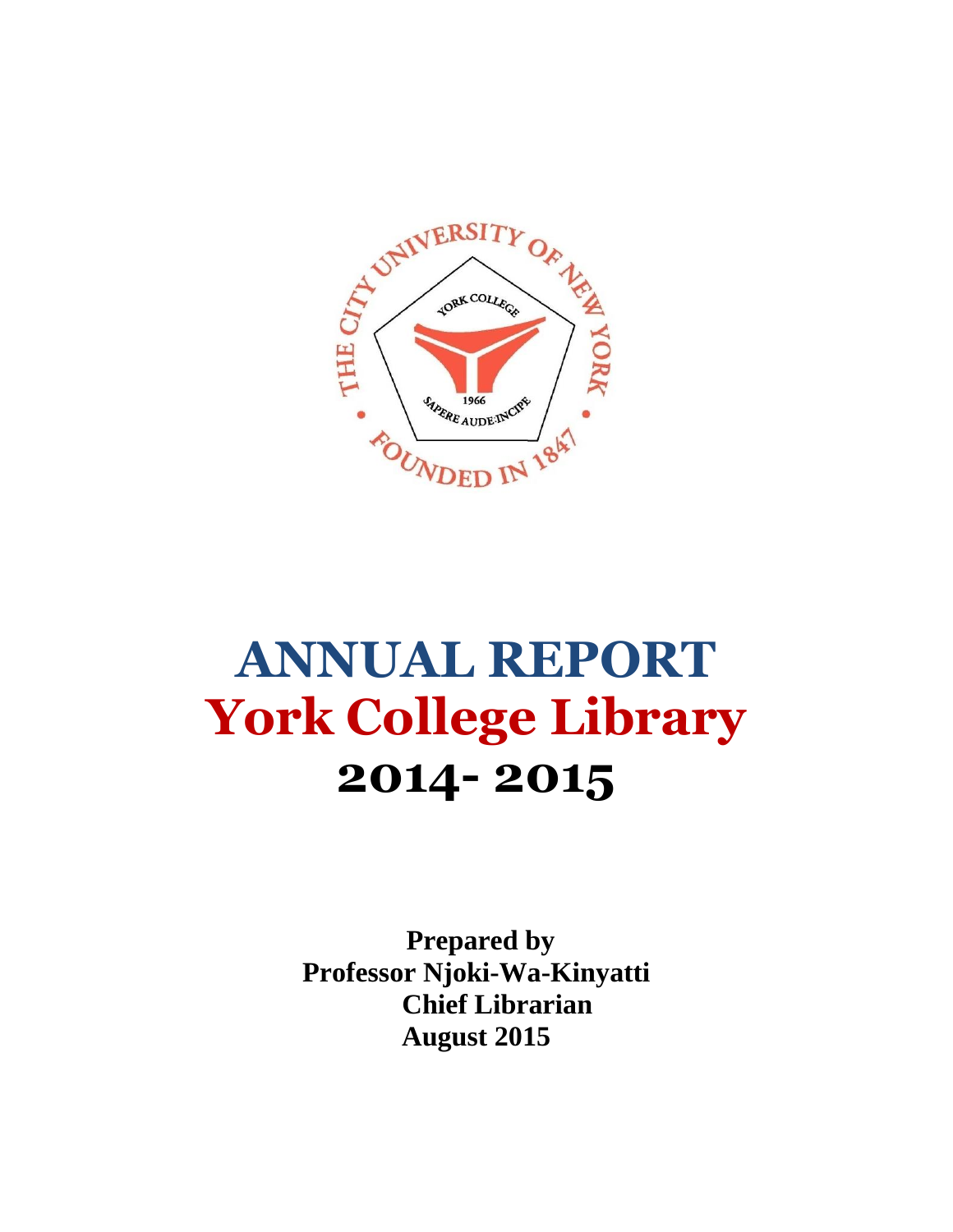

## **ANNUAL REPORT York College Library 2014- 2015**

 **Prepared by Professor Njoki-Wa-Kinyatti Chief Librarian August 2015**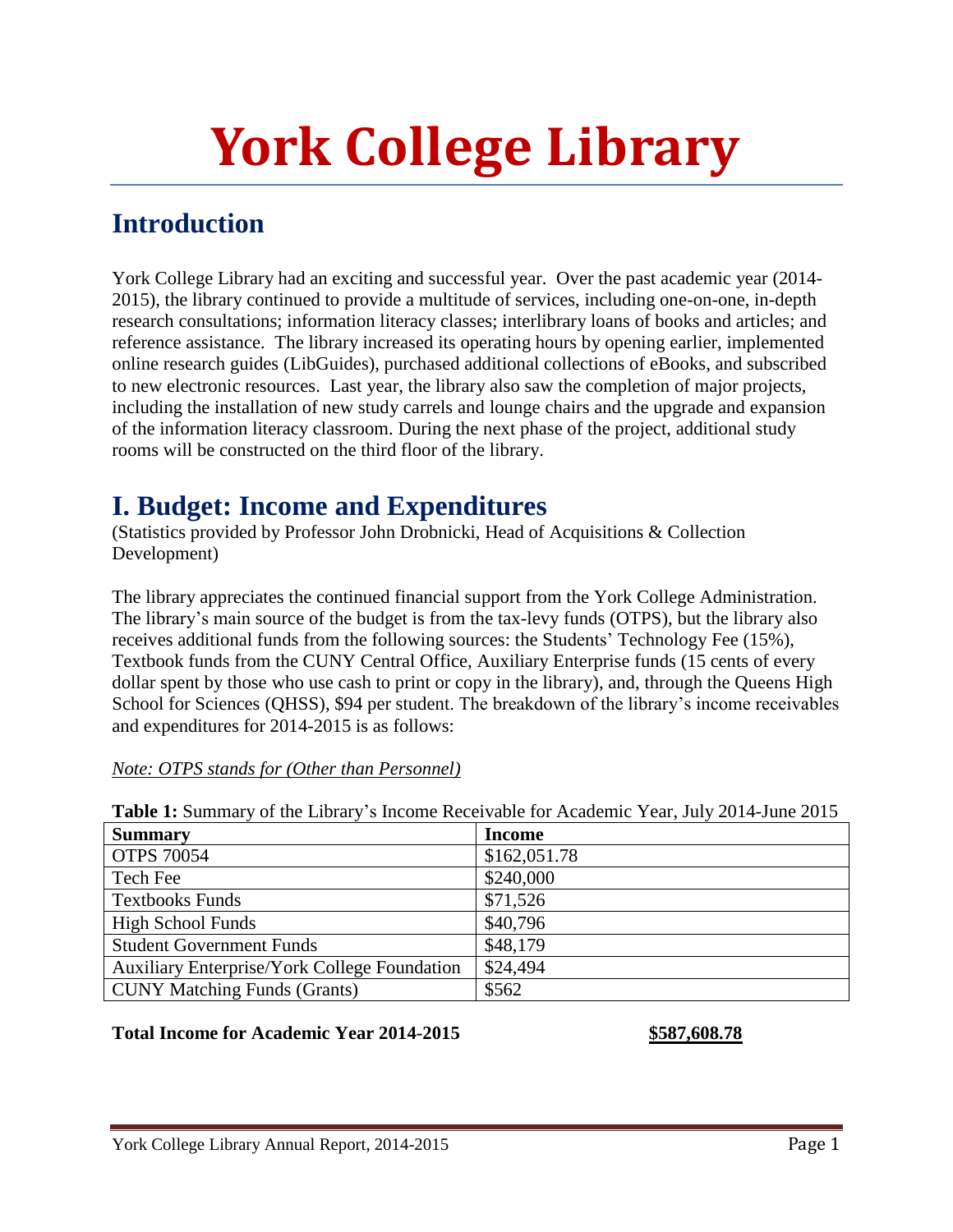# **York College Library**

### **Introduction**

York College Library had an exciting and successful year. Over the past academic year (2014- 2015), the library continued to provide a multitude of services, including one-on-one, in-depth research consultations; information literacy classes; interlibrary loans of books and articles; and reference assistance. The library increased its operating hours by opening earlier, implemented online research guides (LibGuides), purchased additional collections of eBooks, and subscribed to new electronic resources. Last year, the library also saw the completion of major projects, including the installation of new study carrels and lounge chairs and the upgrade and expansion of the information literacy classroom. During the next phase of the project, additional study rooms will be constructed on the third floor of the library.

### **I. Budget: Income and Expenditures**

(Statistics provided by Professor John Drobnicki, Head of Acquisitions & Collection Development)

The library appreciates the continued financial support from the York College Administration. The library"s main source of the budget is from the tax-levy funds (OTPS), but the library also receives additional funds from the following sources: the Students' Technology Fee (15%), Textbook funds from the CUNY Central Office, Auxiliary Enterprise funds (15 cents of every dollar spent by those who use cash to print or copy in the library), and, through the Queens High School for Sciences (QHSS), \$94 per student. The breakdown of the library's income receivables and expenditures for 2014-2015 is as follows:

| Table 1: Summary of the Library's Income Receivable for Academic Year, July 2014-June 2015 |               |  |  |
|--------------------------------------------------------------------------------------------|---------------|--|--|
| <b>Summary</b>                                                                             | <b>Income</b> |  |  |
| <b>OTPS 70054</b>                                                                          | \$162,051.78  |  |  |
| Tech Fee                                                                                   | \$240,000     |  |  |
| <b>Textbooks Funds</b>                                                                     | \$71,526      |  |  |
| <b>High School Funds</b>                                                                   | \$40,796      |  |  |
| <b>Student Government Funds</b>                                                            | \$48,179      |  |  |
| <b>Auxiliary Enterprise/York College Foundation</b>                                        | \$24,494      |  |  |
| <b>CUNY Matching Funds (Grants)</b>                                                        | \$562         |  |  |

#### *Note: OTPS stands for (Other than Personnel)*

#### **Total Income for Academic Year 2014-2015 \$587,608.78**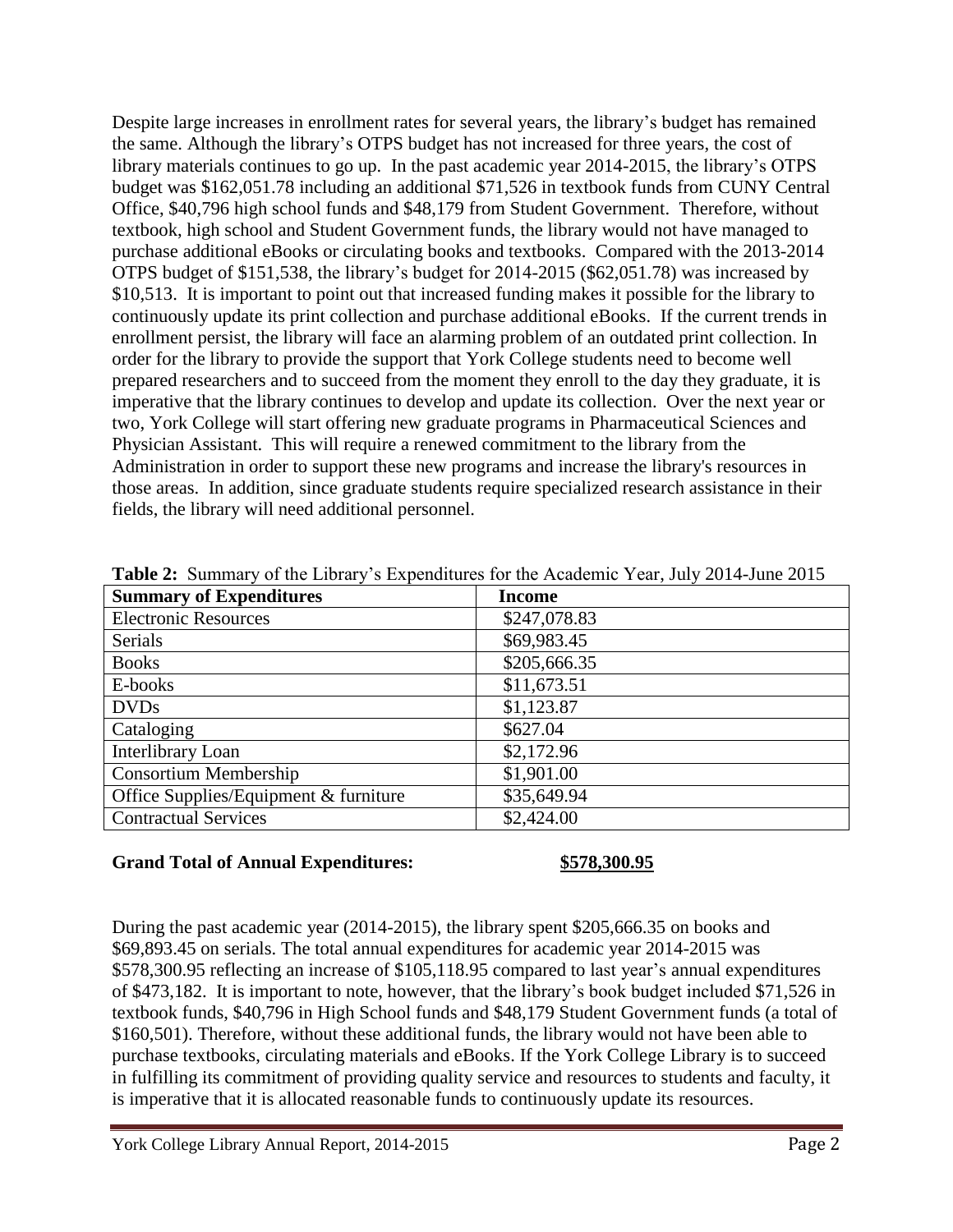Despite large increases in enrollment rates for several years, the library"s budget has remained the same. Although the library"s OTPS budget has not increased for three years, the cost of library materials continues to go up. In the past academic year 2014-2015, the library"s OTPS budget was \$162,051.78 including an additional \$71,526 in textbook funds from CUNY Central Office, \$40,796 high school funds and \$48,179 from Student Government. Therefore, without textbook, high school and Student Government funds, the library would not have managed to purchase additional eBooks or circulating books and textbooks. Compared with the 2013-2014 OTPS budget of \$151,538, the library"s budget for 2014-2015 (\$62,051.78) was increased by \$10,513. It is important to point out that increased funding makes it possible for the library to continuously update its print collection and purchase additional eBooks. If the current trends in enrollment persist, the library will face an alarming problem of an outdated print collection. In order for the library to provide the support that York College students need to become well prepared researchers and to succeed from the moment they enroll to the day they graduate, it is imperative that the library continues to develop and update its collection. Over the next year or two, York College will start offering new graduate programs in Pharmaceutical Sciences and Physician Assistant. This will require a renewed commitment to the library from the Administration in order to support these new programs and increase the library's resources in those areas. In addition, since graduate students require specialized research assistance in their fields, the library will need additional personnel.

| <b>Summary of Expenditures</b>        | <b>Income</b> |
|---------------------------------------|---------------|
| <b>Electronic Resources</b>           | \$247,078.83  |
| Serials                               | \$69,983.45   |
| <b>Books</b>                          | \$205,666.35  |
| E-books                               | \$11,673.51   |
| <b>DVDs</b>                           | \$1,123.87    |
| Cataloging                            | \$627.04      |
| Interlibrary Loan                     | \$2,172.96    |
| <b>Consortium Membership</b>          | \$1,901.00    |
| Office Supplies/Equipment & furniture | \$35,649.94   |
| <b>Contractual Services</b>           | \$2,424.00    |

Table 2: Summary of the Library's Expenditures for the Academic Year, July 2014-June 2015

#### **Grand Total of Annual Expenditures: \$578,300.95**

During the past academic year (2014-2015), the library spent \$205,666.35 on books and \$69,893.45 on serials. The total annual expenditures for academic year 2014-2015 was \$578,300.95 reflecting an increase of \$105,118.95 compared to last year's annual expenditures of \$473,182. It is important to note, however, that the library"s book budget included \$71,526 in textbook funds, \$40,796 in High School funds and \$48,179 Student Government funds (a total of \$160,501). Therefore, without these additional funds, the library would not have been able to purchase textbooks, circulating materials and eBooks. If the York College Library is to succeed in fulfilling its commitment of providing quality service and resources to students and faculty, it is imperative that it is allocated reasonable funds to continuously update its resources.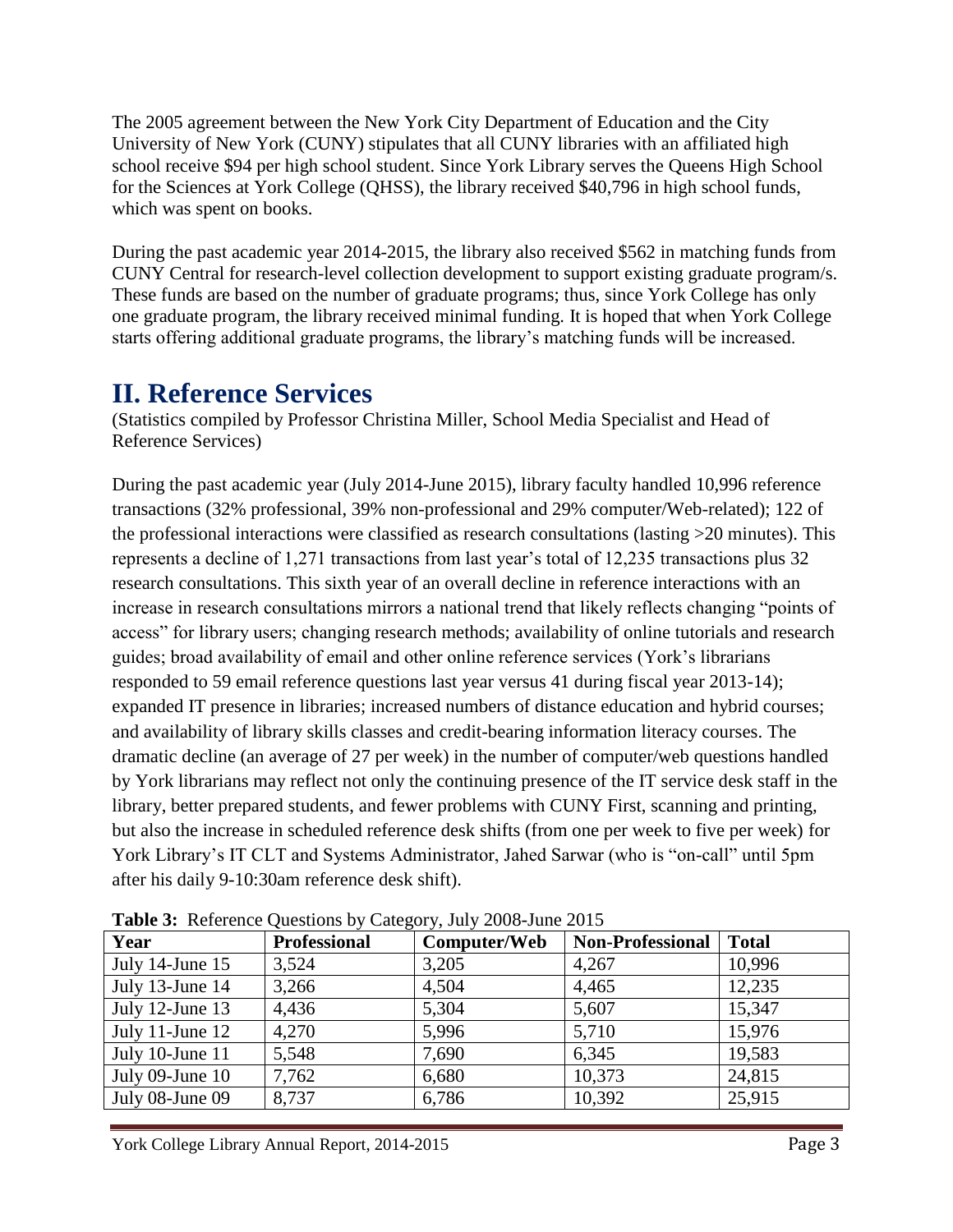The 2005 agreement between the New York City Department of Education and the City University of New York (CUNY) stipulates that all CUNY libraries with an affiliated high school receive \$94 per high school student. Since York Library serves the Queens High School for the Sciences at York College (QHSS), the library received \$40,796 in high school funds, which was spent on books.

During the past academic year 2014-2015, the library also received \$562 in matching funds from CUNY Central for research-level collection development to support existing graduate program/s. These funds are based on the number of graduate programs; thus, since York College has only one graduate program, the library received minimal funding. It is hoped that when York College starts offering additional graduate programs, the library"s matching funds will be increased.

### **II. Reference Services**

(Statistics compiled by Professor Christina Miller, School Media Specialist and Head of Reference Services)

During the past academic year (July 2014-June 2015), library faculty handled 10,996 reference transactions (32% professional, 39% non-professional and 29% computer/Web-related); 122 of the professional interactions were classified as research consultations (lasting >20 minutes). This represents a decline of 1,271 transactions from last year"s total of 12,235 transactions plus 32 research consultations. This sixth year of an overall decline in reference interactions with an increase in research consultations mirrors a national trend that likely reflects changing "points of access" for library users; changing research methods; availability of online tutorials and research guides; broad availability of email and other online reference services (York"s librarians responded to 59 email reference questions last year versus 41 during fiscal year 2013-14); expanded IT presence in libraries; increased numbers of distance education and hybrid courses; and availability of library skills classes and credit-bearing information literacy courses. The dramatic decline (an average of 27 per week) in the number of computer/web questions handled by York librarians may reflect not only the continuing presence of the IT service desk staff in the library, better prepared students, and fewer problems with CUNY First, scanning and printing, but also the increase in scheduled reference desk shifts (from one per week to five per week) for York Library"s IT CLT and Systems Administrator, Jahed Sarwar (who is "on-call" until 5pm after his daily 9-10:30am reference desk shift).

| <b>Table 5.</b> Kelefelice Questions by Category, Jury 2000 Julie 2015 |                     |              |                         |              |  |
|------------------------------------------------------------------------|---------------------|--------------|-------------------------|--------------|--|
| Year                                                                   | <b>Professional</b> | Computer/Web | <b>Non-Professional</b> | <b>Total</b> |  |
| July 14-June $15$                                                      | 3,524               | 3,205        | 4,267                   | 10,996       |  |
| July 13-June 14                                                        | 3,266               | 4,504        | 4,465                   | 12,235       |  |
| July 12-June 13                                                        | 4,436               | 5,304        | 5,607                   | 15,347       |  |
| July 11-June $12$                                                      | 4,270               | 5,996        | 5,710                   | 15,976       |  |
| July 10-June 11                                                        | 5,548               | 7,690        | 6,345                   | 19,583       |  |
| July $09$ -June $10$                                                   | 7,762               | 6,680        | 10,373                  | 24,815       |  |
| July 08-June 09                                                        | 8,737               | 6,786        | 10,392                  | 25,915       |  |

**Table 3:** Reference Questions by Category, July 2008-June 2015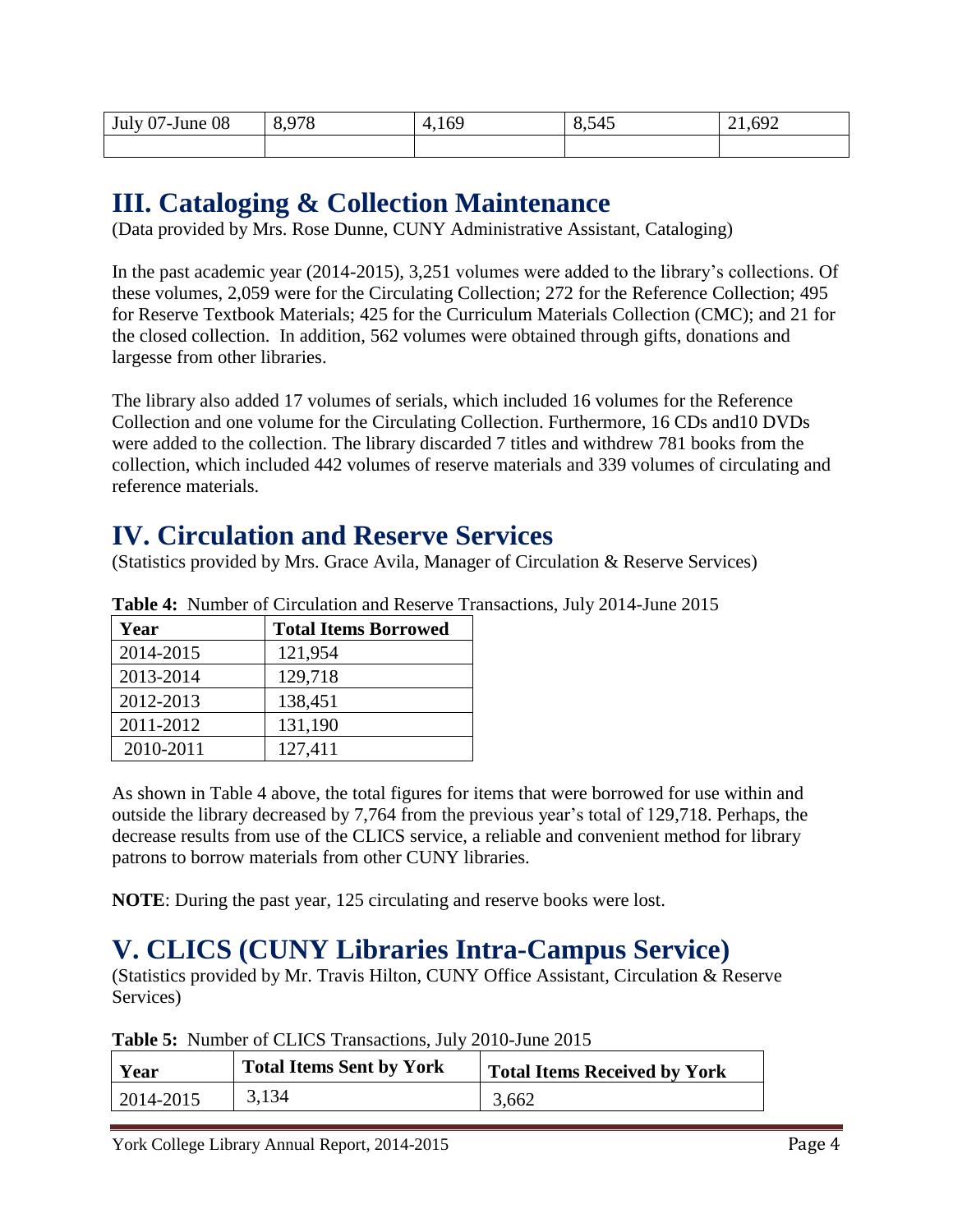| July 07-June 08 | 8,978 | 4,169<br>Æ | 8,545 | 21,692 |
|-----------------|-------|------------|-------|--------|
|                 |       |            |       |        |

### **III. Cataloging & Collection Maintenance**

(Data provided by Mrs. Rose Dunne, CUNY Administrative Assistant, Cataloging)

In the past academic year (2014-2015), 3,251 volumes were added to the library"s collections. Of these volumes, 2,059 were for the Circulating Collection; 272 for the Reference Collection; 495 for Reserve Textbook Materials; 425 for the Curriculum Materials Collection (CMC); and 21 for the closed collection. In addition, 562 volumes were obtained through gifts, donations and largesse from other libraries.

The library also added 17 volumes of serials, which included 16 volumes for the Reference Collection and one volume for the Circulating Collection. Furthermore, 16 CDs and10 DVDs were added to the collection. The library discarded 7 titles and withdrew 781 books from the collection, which included 442 volumes of reserve materials and 339 volumes of circulating and reference materials.

### **IV. Circulation and Reserve Services**

(Statistics provided by Mrs. Grace Avila, Manager of Circulation & Reserve Services)

| Tuble Transport of Chedhanon and Robert Par |                             |  |
|---------------------------------------------|-----------------------------|--|
| Year                                        | <b>Total Items Borrowed</b> |  |
| 2014-2015                                   | 121,954                     |  |
| 2013-2014                                   | 129,718                     |  |
| 2012-2013                                   | 138,451                     |  |
| 2011-2012                                   | 131,190                     |  |
| 2010-2011                                   | 127,411                     |  |

**Table 4:** Number of Circulation and Reserve Transactions, July 2014-June 2015

As shown in Table 4 above, the total figures for items that were borrowed for use within and outside the library decreased by 7,764 from the previous year"s total of 129,718. Perhaps, the decrease results from use of the CLICS service, a reliable and convenient method for library patrons to borrow materials from other CUNY libraries.

**NOTE**: During the past year, 125 circulating and reserve books were lost.

### **V. CLICS (CUNY Libraries Intra-Campus Service)**

(Statistics provided by Mr. Travis Hilton, CUNY Office Assistant, Circulation & Reserve Services)

| <b>Total Items Sent by York</b><br>Year |       | <b>Total Items Received by York</b> |  |
|-----------------------------------------|-------|-------------------------------------|--|
| 2014-2015                               | 3,134 | 3.662                               |  |

**Table 5:** Number of CLICS Transactions, July 2010-June 2015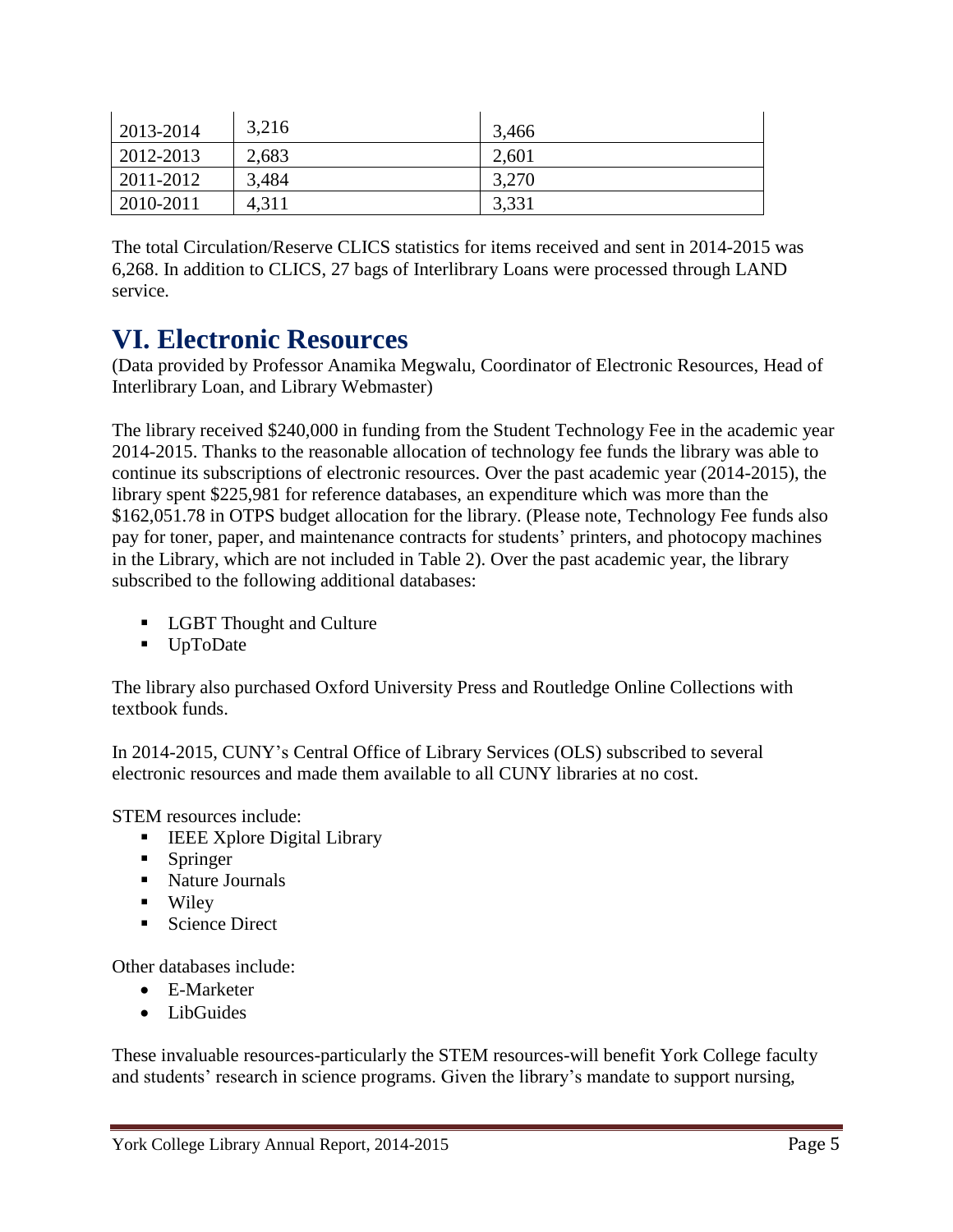| 2013-2014 | 3,216 | 3,466 |
|-----------|-------|-------|
| 2012-2013 | 2,683 | 2,601 |
| 2011-2012 | 3,484 | 3,270 |
| 2010-2011 | 4.311 | 3,331 |

The total Circulation/Reserve CLICS statistics for items received and sent in 2014-2015 was 6,268. In addition to CLICS, 27 bags of Interlibrary Loans were processed through LAND service.

### **VI. Electronic Resources**

(Data provided by Professor Anamika Megwalu, Coordinator of Electronic Resources, Head of Interlibrary Loan, and Library Webmaster)

The library received \$240,000 in funding from the Student Technology Fee in the academic year 2014-2015. Thanks to the reasonable allocation of technology fee funds the library was able to continue its subscriptions of electronic resources. Over the past academic year (2014-2015), the library spent \$225,981 for reference databases, an expenditure which was more than the \$162,051.78 in OTPS budget allocation for the library. (Please note, Technology Fee funds also pay for toner, paper, and maintenance contracts for students' printers, and photocopy machines in the Library, which are not included in Table 2). Over the past academic year, the library subscribed to the following additional databases:

- **LGBT Thought and Culture**
- UpToDate

The library also purchased Oxford University Press and Routledge Online Collections with textbook funds.

In 2014-2015, CUNY"s Central Office of Library Services (OLS) subscribed to several electronic resources and made them available to all CUNY libraries at no cost.

STEM resources include:

- **IEEE Xplore Digital Library**
- **Springer**
- Nature Journals
- **Wiley**
- Science Direct

Other databases include:

- E-Marketer
- LibGuides

These invaluable resources-particularly the STEM resources-will benefit York College faculty and students' research in science programs. Given the library's mandate to support nursing,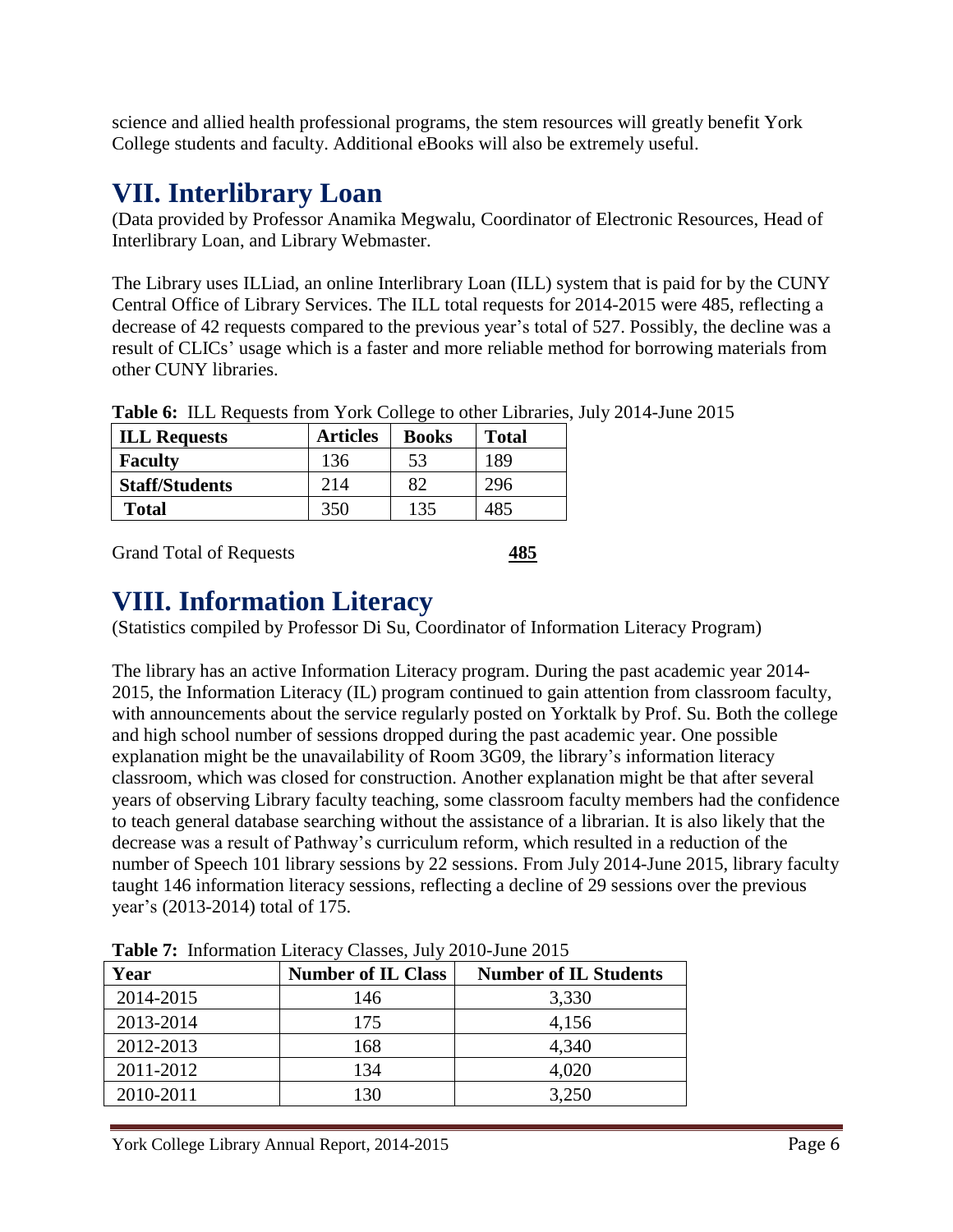science and allied health professional programs, the stem resources will greatly benefit York College students and faculty. Additional eBooks will also be extremely useful.

### **VII. Interlibrary Loan**

(Data provided by Professor Anamika Megwalu, Coordinator of Electronic Resources, Head of Interlibrary Loan, and Library Webmaster.

The Library uses ILLiad, an online Interlibrary Loan (ILL) system that is paid for by the CUNY Central Office of Library Services. The ILL total requests for 2014-2015 were 485, reflecting a decrease of 42 requests compared to the previous year's total of 527. Possibly, the decline was a result of CLICs' usage which is a faster and more reliable method for borrowing materials from other CUNY libraries.

| <b>ILL Requests</b>   | <b>Articles</b> | <b>Books</b> | <b>Total</b> |
|-----------------------|-----------------|--------------|--------------|
| <b>Faculty</b>        | 136             | 53           | 189          |
| <b>Staff/Students</b> | 214             | 82           | 296          |
| <b>Total</b>          | 350             | 135          | 485          |

**Table 6:** ILL Requests from York College to other Libraries, July 2014-June 2015

Grand Total of Requests **485** 

### **VIII. Information Literacy**

(Statistics compiled by Professor Di Su, Coordinator of Information Literacy Program)

The library has an active Information Literacy program. During the past academic year 2014- 2015, the Information Literacy (IL) program continued to gain attention from classroom faculty, with announcements about the service regularly posted on Yorktalk by Prof. Su. Both the college and high school number of sessions dropped during the past academic year. One possible explanation might be the unavailability of Room 3G09, the library"s information literacy classroom, which was closed for construction. Another explanation might be that after several years of observing Library faculty teaching, some classroom faculty members had the confidence to teach general database searching without the assistance of a librarian. It is also likely that the decrease was a result of Pathway"s curriculum reform, which resulted in a reduction of the number of Speech 101 library sessions by 22 sessions. From July 2014-June 2015, library faculty taught 146 information literacy sessions, reflecting a decline of 29 sessions over the previous year"s (2013-2014) total of 175.

| Year      | <b>Number of IL Class</b> | <b>Number of IL Students</b> |
|-----------|---------------------------|------------------------------|
| 2014-2015 | 146                       | 3,330                        |
| 2013-2014 | 175                       | 4,156                        |
| 2012-2013 | 168                       | 4,340                        |
| 2011-2012 | 134                       | 4,020                        |
| 2010-2011 | 130                       | 3,250                        |

**Table 7:** Information Literacy Classes, July 2010-June 2015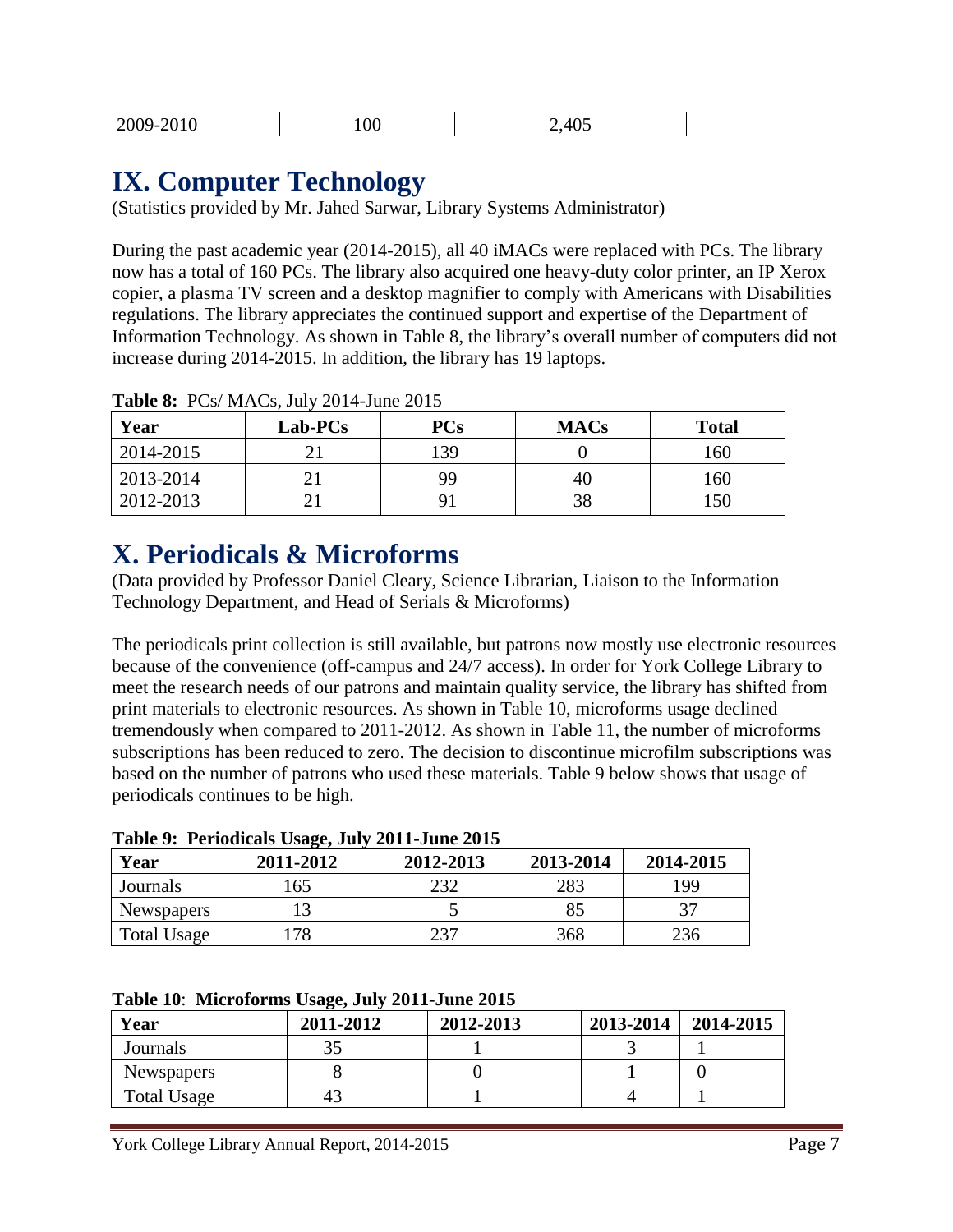| 2009-2010 | 100 | 2,405 |
|-----------|-----|-------|
|-----------|-----|-------|

### **IX. Computer Technology**

(Statistics provided by Mr. Jahed Sarwar, Library Systems Administrator)

During the past academic year (2014-2015), all 40 iMACs were replaced with PCs. The library now has a total of 160 PCs. The library also acquired one heavy-duty color printer, an IP Xerox copier, a plasma TV screen and a desktop magnifier to comply with Americans with Disabilities regulations. The library appreciates the continued support and expertise of the Department of Information Technology. As shown in Table 8, the library"s overall number of computers did not increase during 2014-2015. In addition, the library has 19 laptops.

| Year      | Lab-PCs | <b>PCs</b> | <b>MACs</b> | <b>Total</b> |
|-----------|---------|------------|-------------|--------------|
| 2014-2015 | າ:      | 139        |             | 160          |
| 2013-2014 |         | 99         | 40          | 160          |
| 2012-2013 |         |            | 38          | 150          |

**Table 8:** PCs/ MACs, July 2014-June 2015

### **X. Periodicals & Microforms**

(Data provided by Professor Daniel Cleary, Science Librarian, Liaison to the Information Technology Department, and Head of Serials & Microforms)

The periodicals print collection is still available, but patrons now mostly use electronic resources because of the convenience (off-campus and 24/7 access). In order for York College Library to meet the research needs of our patrons and maintain quality service, the library has shifted from print materials to electronic resources. As shown in Table 10, microforms usage declined tremendously when compared to 2011-2012. As shown in Table 11, the number of microforms subscriptions has been reduced to zero. The decision to discontinue microfilm subscriptions was based on the number of patrons who used these materials. Table 9 below shows that usage of periodicals continues to be high.

|                    | Table 7. I cribuicals Usage, July 2011-Julie 2013 |           |           |           |
|--------------------|---------------------------------------------------|-----------|-----------|-----------|
| Year               | 2011-2012                                         | 2012-2013 | 2013-2014 | 2014-2015 |
| Journals           | 65                                                | າຈາ       | 283       | 199       |
| <b>Newspapers</b>  |                                                   |           | 85        |           |
| <b>Total Usage</b> | 78                                                | าวา       | 368       | 236       |

#### **Table 9: Periodicals Usage, July 2011-June 2015**

| Table 10: Microforms Usage, July 2011-June 2015 |  |  |
|-------------------------------------------------|--|--|
|                                                 |  |  |

| Year        | 2011-2012 | 2012-2013 | 2013-2014 | 2014-2015 |
|-------------|-----------|-----------|-----------|-----------|
| Journals    | つよ        |           |           |           |
| Newspapers  |           |           |           |           |
| Total Usage | 43        |           |           |           |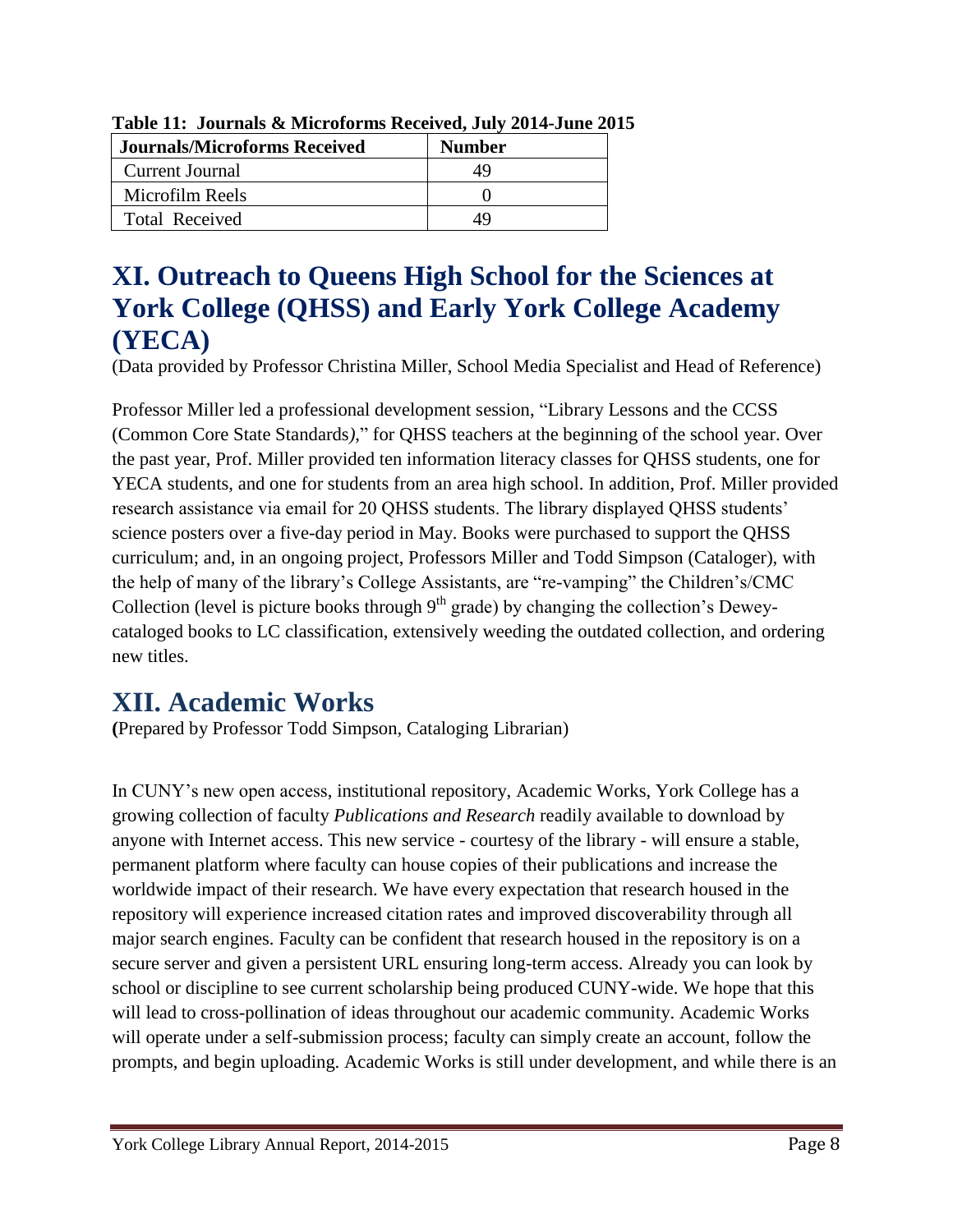| <b>Journals/Microforms Received</b> | <b>Number</b> |
|-------------------------------------|---------------|
| Current Journal                     | 49            |
| Microfilm Reels                     |               |
| <b>Total Received</b>               | ΔY            |

**Table 11: Journals & Microforms Received, July 2014-June 2015**

### **XI. Outreach to Queens High School for the Sciences at York College (QHSS) and Early York College Academy (YECA)**

(Data provided by Professor Christina Miller, School Media Specialist and Head of Reference)

Professor Miller led a professional development session, "Library Lessons and the CCSS (Common Core State Standards*)*," for QHSS teachers at the beginning of the school year. Over the past year, Prof. Miller provided ten information literacy classes for QHSS students, one for YECA students, and one for students from an area high school. In addition, Prof. Miller provided research assistance via email for 20 QHSS students. The library displayed QHSS students" science posters over a five-day period in May. Books were purchased to support the QHSS curriculum; and, in an ongoing project, Professors Miller and Todd Simpson (Cataloger), with the help of many of the library"s College Assistants, are "re-vamping" the Children"s/CMC Collection (level is picture books through  $9<sup>th</sup>$  grade) by changing the collection's Deweycataloged books to LC classification, extensively weeding the outdated collection, and ordering new titles.

### **XII. Academic Works**

**(**Prepared by Professor Todd Simpson, Cataloging Librarian)

In CUNY"s new open access, institutional repository, Academic Works, York College has a growing collection of faculty *Publications and Research* readily available to download by anyone with Internet access. This new service - courtesy of the library - will ensure a stable, permanent platform where faculty can house copies of their publications and increase the worldwide impact of their research. We have every expectation that research housed in the repository will experience increased citation rates and improved discoverability through all major search engines. Faculty can be confident that research housed in the repository is on a secure server and given a persistent URL ensuring long-term access. Already you can look by school or discipline to see current scholarship being produced CUNY-wide. We hope that this will lead to cross-pollination of ideas throughout our academic community. Academic Works will operate under a self-submission process; faculty can simply create an account, follow the prompts, and begin uploading. Academic Works is still under development, and while there is an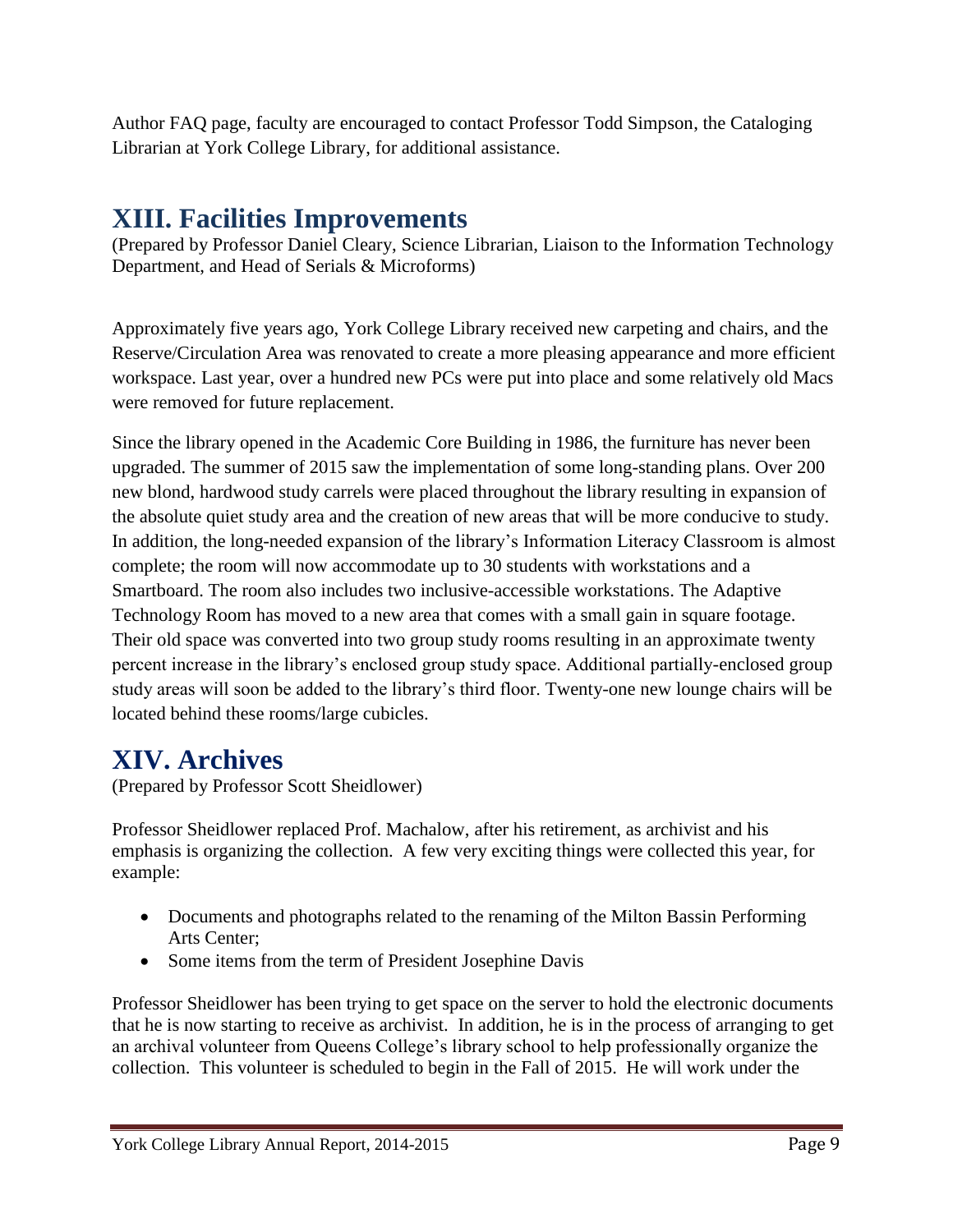Author FAQ page, faculty are encouraged to contact Professor Todd Simpson, the Cataloging Librarian at York College Library, for additional assistance.

### **XIII. Facilities Improvements**

(Prepared by Professor Daniel Cleary, Science Librarian, Liaison to the Information Technology Department, and Head of Serials & Microforms)

Approximately five years ago, York College Library received new carpeting and chairs, and the Reserve/Circulation Area was renovated to create a more pleasing appearance and more efficient workspace. Last year, over a hundred new PCs were put into place and some relatively old Macs were removed for future replacement.

Since the library opened in the Academic Core Building in 1986, the furniture has never been upgraded. The summer of 2015 saw the implementation of some long-standing plans. Over 200 new blond, hardwood study carrels were placed throughout the library resulting in expansion of the absolute quiet study area and the creation of new areas that will be more conducive to study. In addition, the long-needed expansion of the library"s Information Literacy Classroom is almost complete; the room will now accommodate up to 30 students with workstations and a Smartboard. The room also includes two inclusive-accessible workstations. The Adaptive Technology Room has moved to a new area that comes with a small gain in square footage. Their old space was converted into two group study rooms resulting in an approximate twenty percent increase in the library"s enclosed group study space. Additional partially-enclosed group study areas will soon be added to the library"s third floor. Twenty-one new lounge chairs will be located behind these rooms/large cubicles.

### **XIV. Archives**

(Prepared by Professor Scott Sheidlower)

Professor Sheidlower replaced Prof. Machalow, after his retirement, as archivist and his emphasis is organizing the collection. A few very exciting things were collected this year, for example:

- Documents and photographs related to the renaming of the Milton Bassin Performing Arts Center;
- Some items from the term of President Josephine Davis

Professor Sheidlower has been trying to get space on the server to hold the electronic documents that he is now starting to receive as archivist. In addition, he is in the process of arranging to get an archival volunteer from Queens College"s library school to help professionally organize the collection. This volunteer is scheduled to begin in the Fall of 2015. He will work under the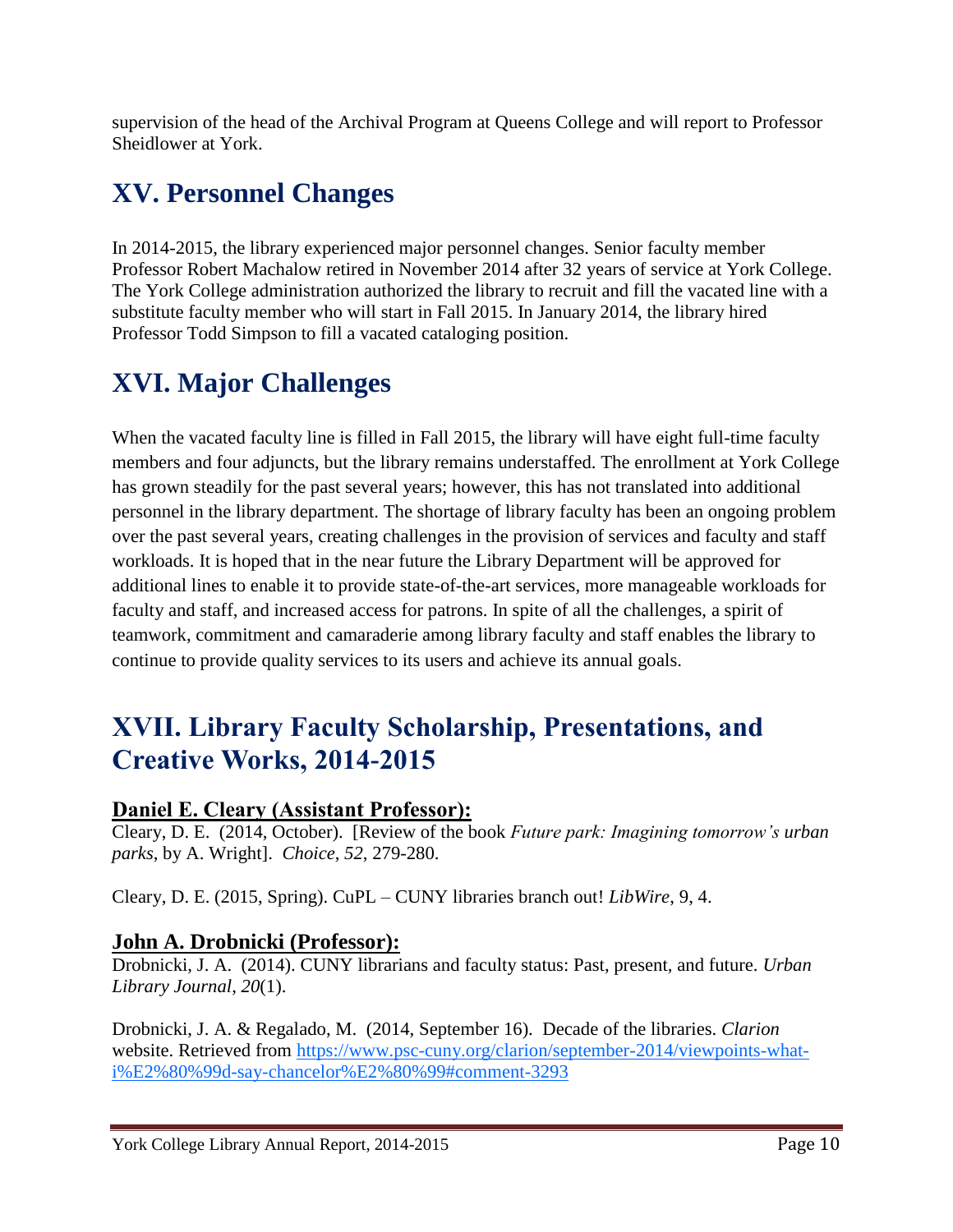supervision of the head of the Archival Program at Queens College and will report to Professor Sheidlower at York.

## **XV. Personnel Changes**

In 2014-2015, the library experienced major personnel changes. Senior faculty member Professor Robert Machalow retired in November 2014 after 32 years of service at York College. The York College administration authorized the library to recruit and fill the vacated line with a substitute faculty member who will start in Fall 2015. In January 2014, the library hired Professor Todd Simpson to fill a vacated cataloging position.

### **XVI. Major Challenges**

When the vacated faculty line is filled in Fall 2015, the library will have eight full-time faculty members and four adjuncts, but the library remains understaffed. The enrollment at York College has grown steadily for the past several years; however, this has not translated into additional personnel in the library department. The shortage of library faculty has been an ongoing problem over the past several years, creating challenges in the provision of services and faculty and staff workloads. It is hoped that in the near future the Library Department will be approved for additional lines to enable it to provide state-of-the-art services, more manageable workloads for faculty and staff, and increased access for patrons. In spite of all the challenges, a spirit of teamwork, commitment and camaraderie among library faculty and staff enables the library to continue to provide quality services to its users and achieve its annual goals.

### **XVII. Library Faculty Scholarship, Presentations, and Creative Works, 2014-2015**

#### **Daniel E. Cleary (Assistant Professor):**

Cleary, D. E. (2014, October). [Review of the book *Future park: Imagining tomorrow's urban parks*, by A. Wright]. *Choice*, *52*, 279-280.

Cleary, D. E. (2015, Spring). CuPL – CUNY libraries branch out! *LibWire*, 9, 4.

#### **John A. Drobnicki (Professor):**

Drobnicki, J. A. (2014). CUNY librarians and faculty status: Past, present, and future. *Urban Library Journal*, *20*(1).

Drobnicki, J. A. & Regalado, M. (2014, September 16). Decade of the libraries. *Clarion* website. Retrieved from [https://www.psc-cuny.org/clarion/september-2014/viewpoints-what](https://www.psc-cuny.org/clarion/september-2014/viewpoints-what-i%E2%80%99d-say-chancelor%E2%80%99#comment-3293)[i%E2%80%99d-say-chancelor%E2%80%99#comment-3293](https://www.psc-cuny.org/clarion/september-2014/viewpoints-what-i%E2%80%99d-say-chancelor%E2%80%99#comment-3293)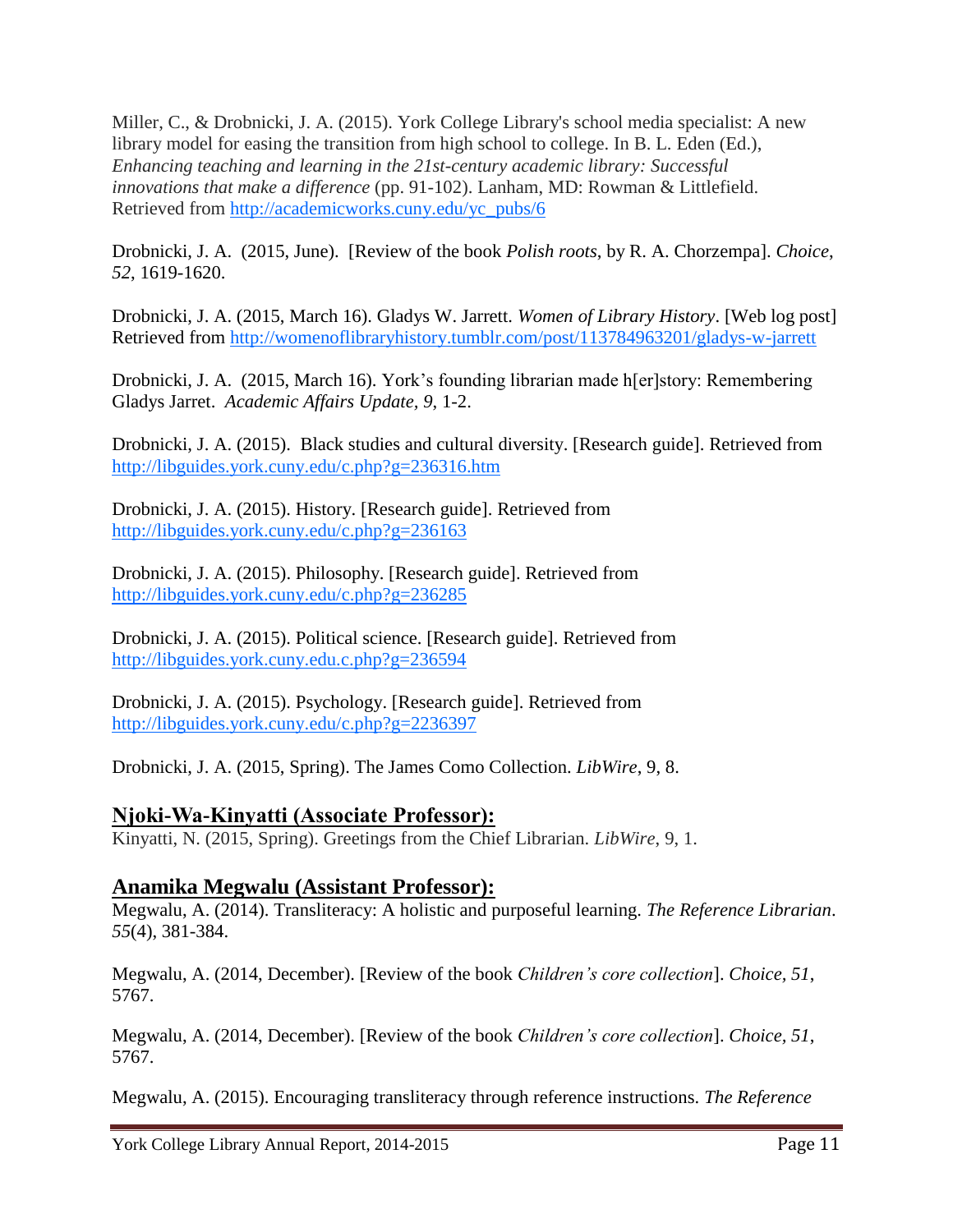Miller, C., & Drobnicki, J. A. (2015). York College Library's school media specialist: A new library model for easing the transition from high school to college. In B. L. Eden (Ed.), *Enhancing teaching and learning in the 21st-century academic library: Successful innovations that make a difference* (pp. 91-102). Lanham, MD: Rowman & Littlefield. Retrieved from [http://academicworks.cuny.edu/yc\\_pubs/6](http://academicworks.cuny.edu/yc_pubs/6)

Drobnicki, J. A. (2015, June). [Review of the book *Polish roots*, by R. A. Chorzempa]. *Choice*, *52*, 1619-1620.

Drobnicki, J. A. (2015, March 16). Gladys W. Jarrett. *Women of Library History*. [Web log post] Retrieved from<http://womenoflibraryhistory.tumblr.com/post/113784963201/gladys-w-jarrett>

Drobnicki, J. A. (2015, March 16). York"s founding librarian made h[er]story: Remembering Gladys Jarret. *Academic Affairs Update, 9*, 1-2.

Drobnicki, J. A. (2015). Black studies and cultural diversity. [Research guide]. Retrieved from <http://libguides.york.cuny.edu/c.php?g=236316.htm>

Drobnicki, J. A. (2015). History. [Research guide]. Retrieved from <http://libguides.york.cuny.edu/c.php?g=236163>

Drobnicki, J. A. (2015). Philosophy. [Research guide]. Retrieved from <http://libguides.york.cuny.edu/c.php?g=236285>

Drobnicki, J. A. (2015). Political science. [Research guide]. Retrieved from [http://libguides.york.cuny.edu.c.php?g=236594](http://libguides.york.cuny.edu.c.php/?g=236594)

Drobnicki, J. A. (2015). Psychology. [Research guide]. Retrieved from <http://libguides.york.cuny.edu/c.php?g=2236397>

Drobnicki, J. A. (2015, Spring). The James Como Collection. *LibWire*, 9, 8.

#### **Njoki-Wa-Kinyatti (Associate Professor):**

Kinyatti, N. (2015, Spring). Greetings from the Chief Librarian. *LibWire*, 9, 1.

#### **Anamika Megwalu (Assistant Professor):**

Megwalu, A. (2014). Transliteracy: A holistic and purposeful learning. *The Reference Librarian*. *55*(4), 381-384.

Megwalu, A. (2014, December). [Review of the book *Children's core collection*]. *Choice, 51*, 5767.

Megwalu, A. (2014, December). [Review of the book *Children's core collection*]. *Choice, 51*, 5767.

Megwalu, A. (2015). Encouraging transliteracy through reference instructions. *The Reference*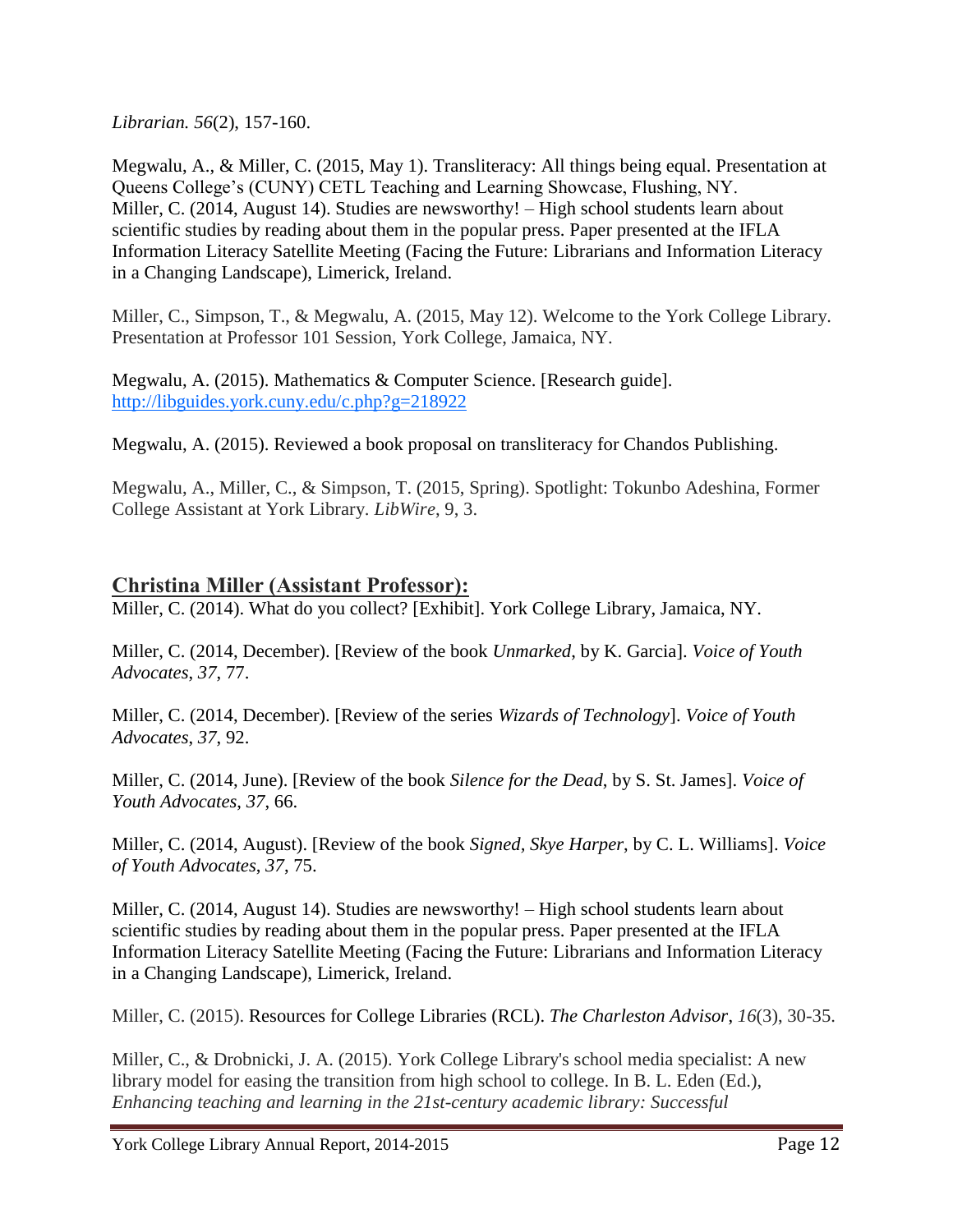*Librarian. 56*(2), 157-160.

Megwalu, A., & Miller, C. (2015, May 1). Transliteracy: All things being equal. Presentation at Queens College"s (CUNY) CETL Teaching and Learning Showcase, Flushing, NY. Miller, C. (2014, August 14). Studies are newsworthy! – High school students learn about scientific studies by reading about them in the popular press. Paper presented at the [IFLA](https://owa.york.cuny.edu/owa/redir.aspx?C=YvimtLZqM0Cy-X4qsWh0GDCBCoPVHtEI4vLPfO736oh_jNKn8Q0aE61iMyzvyI9ShnGxm17Cvz0.&URL=http%3a%2f%2fiflasatellitelimerick.com%2f)  [Information Literacy Satellite Meeting](https://owa.york.cuny.edu/owa/redir.aspx?C=YvimtLZqM0Cy-X4qsWh0GDCBCoPVHtEI4vLPfO736oh_jNKn8Q0aE61iMyzvyI9ShnGxm17Cvz0.&URL=http%3a%2f%2fiflasatellitelimerick.com%2f) (Facing the Future: Librarians and Information Literacy in a Changing Landscape), Limerick, Ireland.

Miller, C., Simpson, T., & Megwalu, A. (2015, May 12). Welcome to the York College Library. Presentation at Professor 101 Session, York College, Jamaica, NY.

Megwalu, A. (2015). Mathematics & Computer Science. [Research guide]. <http://libguides.york.cuny.edu/c.php?g=218922>

Megwalu, A. (2015). Reviewed a book proposal on transliteracy for Chandos Publishing.

Megwalu, A., Miller, C., & Simpson, T. (2015, Spring). Spotlight: Tokunbo Adeshina, Former College Assistant at York Library. *LibWire*, 9, 3.

#### **Christina Miller (Assistant Professor):**

Miller, C. (2014). What do you collect? [Exhibit]. York College Library, Jamaica, NY.

Miller, C. (2014, December). [Review of the book *Unmarked*, by K. Garcia]. *Voice of Youth Advocates*, *37*, 77.

Miller, C. (2014, December). [Review of the series *Wizards of Technology*]. *Voice of Youth Advocates*, *37*, 92.

Miller, C. (2014, June). [Review of the book *Silence for the Dead*, by S. St. James]. *Voice of Youth Advocates*, *37*, 66.

Miller, C. (2014, August). [Review of the book *Signed, Skye Harper*, by C. L. Williams]. *Voice of Youth Advocates*, *37*, 75.

Miller, C. (2014, August 14). Studies are newsworthy! – High school students learn about scientific studies by reading about them in the popular press. Paper presented at the [IFLA](https://owa.york.cuny.edu/owa/redir.aspx?C=YvimtLZqM0Cy-X4qsWh0GDCBCoPVHtEI4vLPfO736oh_jNKn8Q0aE61iMyzvyI9ShnGxm17Cvz0.&URL=http%3a%2f%2fiflasatellitelimerick.com%2f)  [Information Literacy Satellite Meeting](https://owa.york.cuny.edu/owa/redir.aspx?C=YvimtLZqM0Cy-X4qsWh0GDCBCoPVHtEI4vLPfO736oh_jNKn8Q0aE61iMyzvyI9ShnGxm17Cvz0.&URL=http%3a%2f%2fiflasatellitelimerick.com%2f) (Facing the Future: Librarians and Information Literacy in a Changing Landscape), Limerick, Ireland.

Miller, C. (2015). Resources for College Libraries (RCL). *The Charleston Advisor*, *16*(3), 30-35.

Miller, C., & Drobnicki, J. A. (2015). York College Library's school media specialist: A new library model for easing the transition from high school to college. In B. L. Eden (Ed.), *Enhancing teaching and learning in the 21st-century academic library: Successful*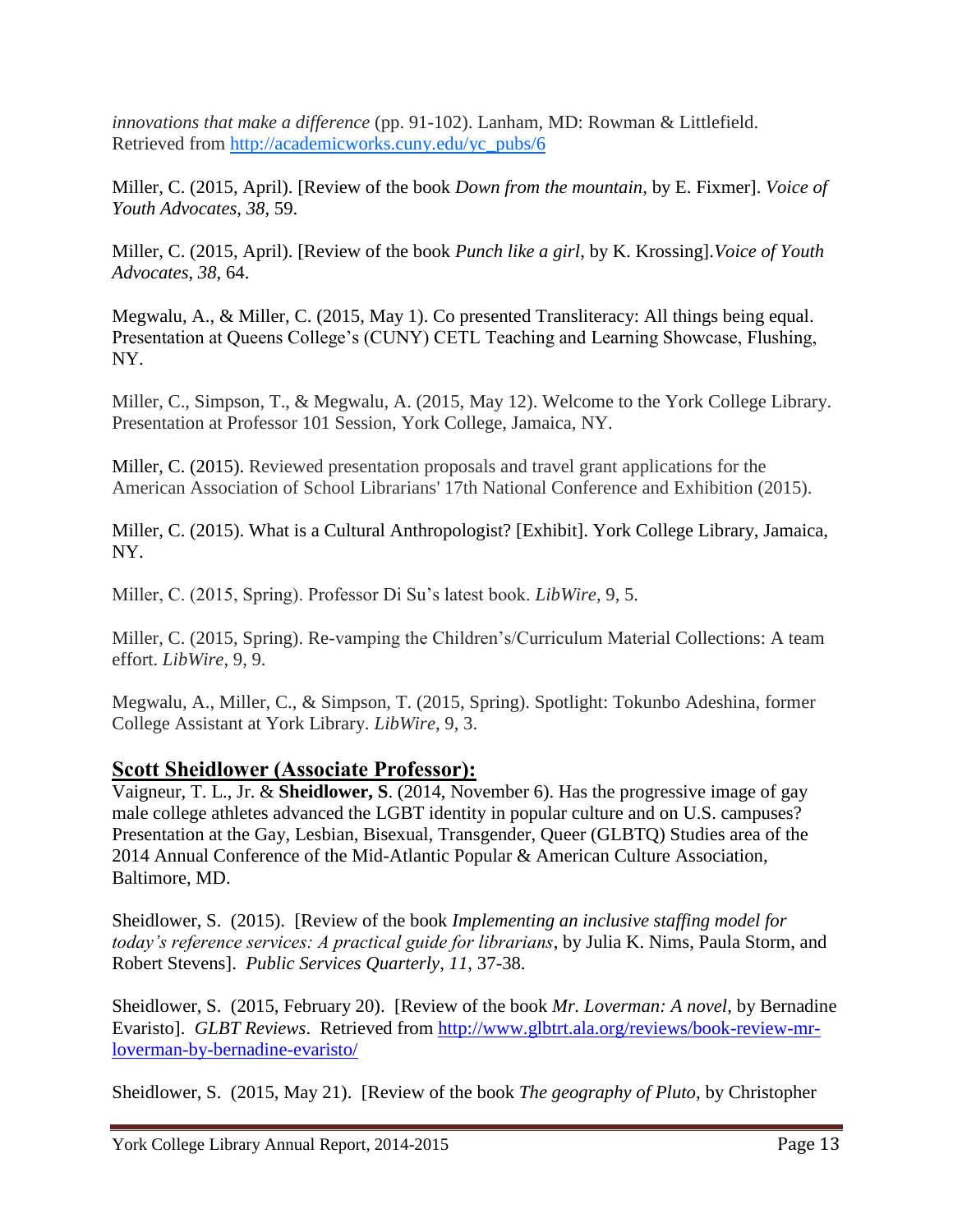*innovations that make a difference* (pp. 91-102). Lanham, MD: Rowman & Littlefield. Retrieved from [http://academicworks.cuny.edu/yc\\_pubs/6](http://academicworks.cuny.edu/yc_pubs/6)

Miller, C. (2015, April). [Review of the book *Down from the mountain*, by E. Fixmer]. *Voice of Youth Advocates*, *38*, 59.

Miller, C. (2015, April). [Review of the book *Punch like a girl*, by K. Krossing].*Voice of Youth Advocates*, *38*, 64.

Megwalu, A., & Miller, C. (2015, May 1). Co presented Transliteracy: All things being equal. Presentation at Queens College's (CUNY) CETL Teaching and Learning Showcase, Flushing, NY.

Miller, C., Simpson, T., & Megwalu, A. (2015, May 12). Welcome to the York College Library. Presentation at Professor 101 Session, York College, Jamaica, NY.

Miller, C. (2015). Reviewed presentation proposals and travel grant applications for the American Association of School Librarians' 17th National Conference and Exhibition (2015).

Miller, C. (2015). What is a Cultural Anthropologist? [Exhibit]. York College Library, Jamaica, NY.

Miller, C. (2015, Spring). Professor Di Su"s latest book. *LibWire*, 9, 5.

Miller, C. (2015, Spring). Re-vamping the Children"s/Curriculum Material Collections: A team effort. *LibWire*, 9, 9.

Megwalu, A., Miller, C., & Simpson, T. (2015, Spring). Spotlight: Tokunbo Adeshina, former College Assistant at York Library. *LibWire*, 9, 3.

#### **Scott Sheidlower (Associate Professor):**

Vaigneur, T. L., Jr. & **Sheidlower, S**. (2014, November 6). Has the progressive image of gay male college athletes advanced the LGBT identity in popular culture and on U.S. campuses? Presentation at the Gay, Lesbian, Bisexual, Transgender, Queer (GLBTQ) Studies area of the 2014 Annual Conference of the Mid-Atlantic Popular & American Culture Association, Baltimore, MD.

Sheidlower, S. (2015). [Review of the book *Implementing an inclusive staffing model for today's reference services: A practical guide for librarians*, by Julia K. Nims, Paula Storm, and Robert Stevens]. *Public Services Quarterly*, *11*, 37-38.

Sheidlower, S. (2015, February 20). [Review of the book *Mr. Loverman: A novel*, by Bernadine Evaristo]. *GLBT Reviews*. Retrieved from [http://www.glbtrt.ala.org/reviews/book-review-mr](https://owa.york.cuny.edu/owa/redir.aspx?SURL=eyTnWlaqWd_ncA8MY3D_Vw2ARjjEtRr2DrfhOEmTXLaqCunpE3DSCGgAdAB0AHAAOgAvAC8AdwB3AHcALgBnAGwAYgB0AHIAdAAuAGEAbABhAC4AbwByAGcALwByAGUAdgBpAGUAdwBzAC8AYgBvAG8AawAtAHIAZQB2AGkAZQB3AC0AbQByAC0AbABvAHYAZQByAG0AYQBuAC0AYgB5AC0AYgBlAHIAbgBhAGQAaQBuAGUALQBlAHYAYQByAGkAcwB0AG8ALwA.&URL=http%3a%2f%2fwww.glbtrt.ala.org%2freviews%2fbook-review-mr-loverman-by-bernadine-evaristo%2f)[loverman-by-bernadine-evaristo/](https://owa.york.cuny.edu/owa/redir.aspx?SURL=eyTnWlaqWd_ncA8MY3D_Vw2ARjjEtRr2DrfhOEmTXLaqCunpE3DSCGgAdAB0AHAAOgAvAC8AdwB3AHcALgBnAGwAYgB0AHIAdAAuAGEAbABhAC4AbwByAGcALwByAGUAdgBpAGUAdwBzAC8AYgBvAG8AawAtAHIAZQB2AGkAZQB3AC0AbQByAC0AbABvAHYAZQByAG0AYQBuAC0AYgB5AC0AYgBlAHIAbgBhAGQAaQBuAGUALQBlAHYAYQByAGkAcwB0AG8ALwA.&URL=http%3a%2f%2fwww.glbtrt.ala.org%2freviews%2fbook-review-mr-loverman-by-bernadine-evaristo%2f)

Sheidlower, S. (2015, May 21). [Review of the book *The geography of Pluto*, by Christopher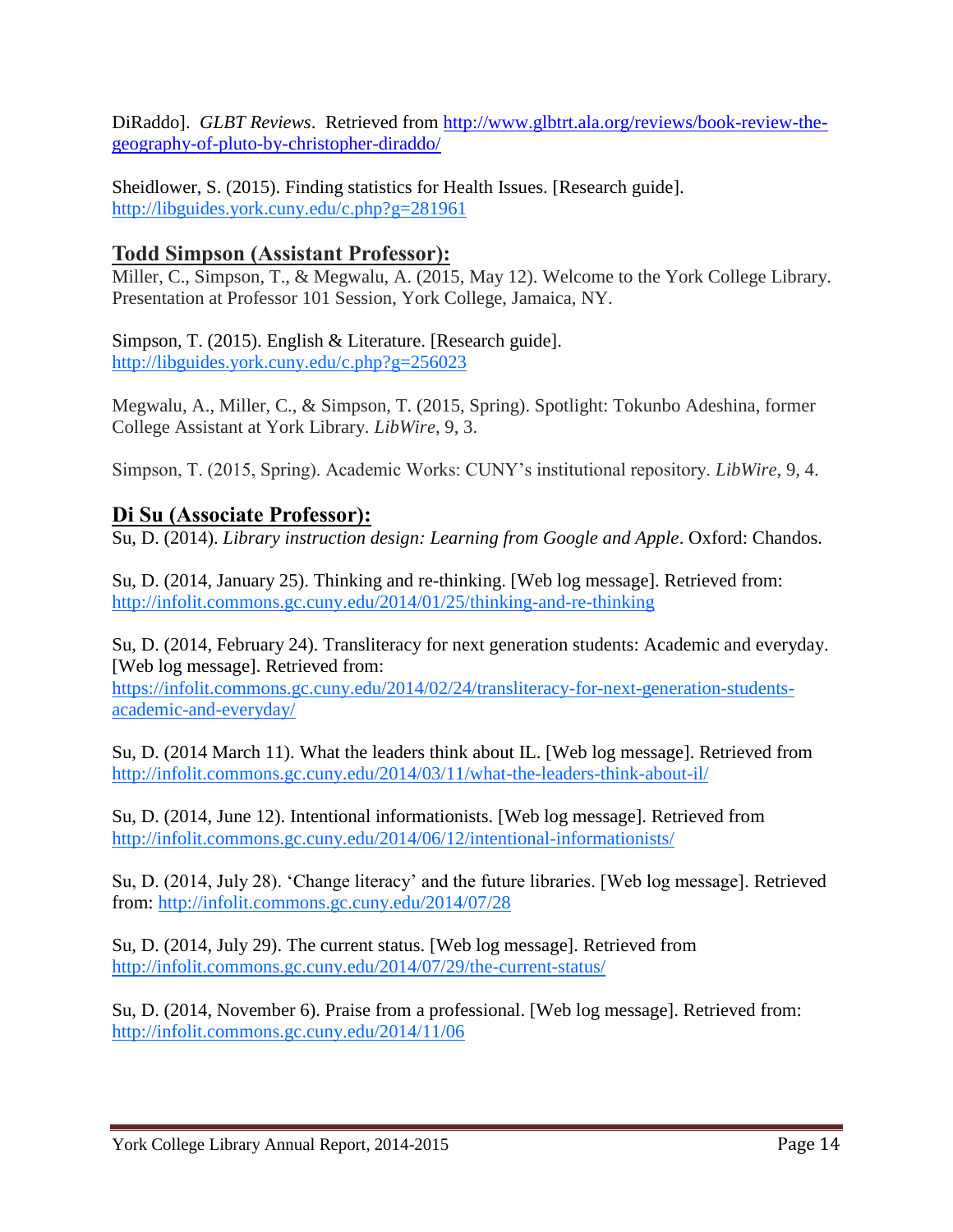DiRaddo]. *GLBT Reviews*. Retrieved from [http://www.glbtrt.ala.org/reviews/book-review-the](https://owa.york.cuny.edu/owa/redir.aspx?SURL=pzIEdD5VztLns9NkSaQg-EPi3MSv0QXcCpo5wnPuECKqCunpE3DSCGgAdAB0AHAAOgAvAC8AdwB3AHcALgBnAGwAYgB0AHIAdAAuAGEAbABhAC4AbwByAGcALwByAGUAdgBpAGUAdwBzAC8AYgBvAG8AawAtAHIAZQB2AGkAZQB3AC0AdABoAGUALQBnAGUAbwBnAHIAYQBwAGgAeQAtAG8AZgAtAHAAbAB1AHQAbwAtAGIAeQAtAGMAaAByAGkAcwB0AG8AcABoAGUAcgAtAGQAaQByAGEAZABkAG8ALwA.&URL=http%3a%2f%2fwww.glbtrt.ala.org%2freviews%2fbook-review-the-geography-of-pluto-by-christopher-diraddo%2f)[geography-of-pluto-by-christopher-diraddo/](https://owa.york.cuny.edu/owa/redir.aspx?SURL=pzIEdD5VztLns9NkSaQg-EPi3MSv0QXcCpo5wnPuECKqCunpE3DSCGgAdAB0AHAAOgAvAC8AdwB3AHcALgBnAGwAYgB0AHIAdAAuAGEAbABhAC4AbwByAGcALwByAGUAdgBpAGUAdwBzAC8AYgBvAG8AawAtAHIAZQB2AGkAZQB3AC0AdABoAGUALQBnAGUAbwBnAHIAYQBwAGgAeQAtAG8AZgAtAHAAbAB1AHQAbwAtAGIAeQAtAGMAaAByAGkAcwB0AG8AcABoAGUAcgAtAGQAaQByAGEAZABkAG8ALwA.&URL=http%3a%2f%2fwww.glbtrt.ala.org%2freviews%2fbook-review-the-geography-of-pluto-by-christopher-diraddo%2f)

Sheidlower, S. (2015). Finding statistics for Health Issues. [Research guide]. <http://libguides.york.cuny.edu/c.php?g=281961>

#### **Todd Simpson (Assistant Professor):**

Miller, C., Simpson, T., & Megwalu, A. (2015, May 12). Welcome to the York College Library. Presentation at Professor 101 Session, York College, Jamaica, NY.

Simpson, T. (2015). English & Literature. [Research guide]. <http://libguides.york.cuny.edu/c.php?g=256023>

Megwalu, A., Miller, C., & Simpson, T. (2015, Spring). Spotlight: Tokunbo Adeshina, former College Assistant at York Library. *LibWire*, 9, 3.

Simpson, T. (2015, Spring). Academic Works: CUNY"s institutional repository. *LibWire*, 9, 4.

#### **Di Su (Associate Professor):**

Su, D. (2014). *Library instruction design: Learning from Google and Apple*. Oxford: Chandos.

Su, D. (2014, January 25). Thinking and re-thinking. [Web log message]. Retrieved from: <http://infolit.commons.gc.cuny.edu/2014/01/25/thinking-and-re-thinking>

Su, D. (2014, February 24). Transliteracy for next generation students: Academic and everyday. [Web log message]. Retrieved from:

[https://infolit.commons.gc.cuny.edu/2014/02/24/transliteracy-for-next-generation-students](https://infolit.commons.gc.cuny.edu/2014/02/24/transliteracy-for-next-generation-students-academic-and-everyday/)[academic-and-everyday/](https://infolit.commons.gc.cuny.edu/2014/02/24/transliteracy-for-next-generation-students-academic-and-everyday/)

Su, D. (2014 March 11). What the leaders think about IL. [Web log message]. Retrieved from <http://infolit.commons.gc.cuny.edu/2014/03/11/what-the-leaders-think-about-il/>

Su, D. (2014, June 12). Intentional informationists. [Web log message]. Retrieved from <http://infolit.commons.gc.cuny.edu/2014/06/12/intentional-informationists/>

Su, D. (2014, July 28). "Change literacy" and the future libraries. [Web log message]. Retrieved from:<http://infolit.commons.gc.cuny.edu/2014/07/28>

Su, D. (2014, July 29). The current status. [Web log message]. Retrieved from <http://infolit.commons.gc.cuny.edu/2014/07/29/the-current-status/>

Su, D. (2014, November 6). Praise from a professional. [Web log message]. Retrieved from: <http://infolit.commons.gc.cuny.edu/2014/11/06>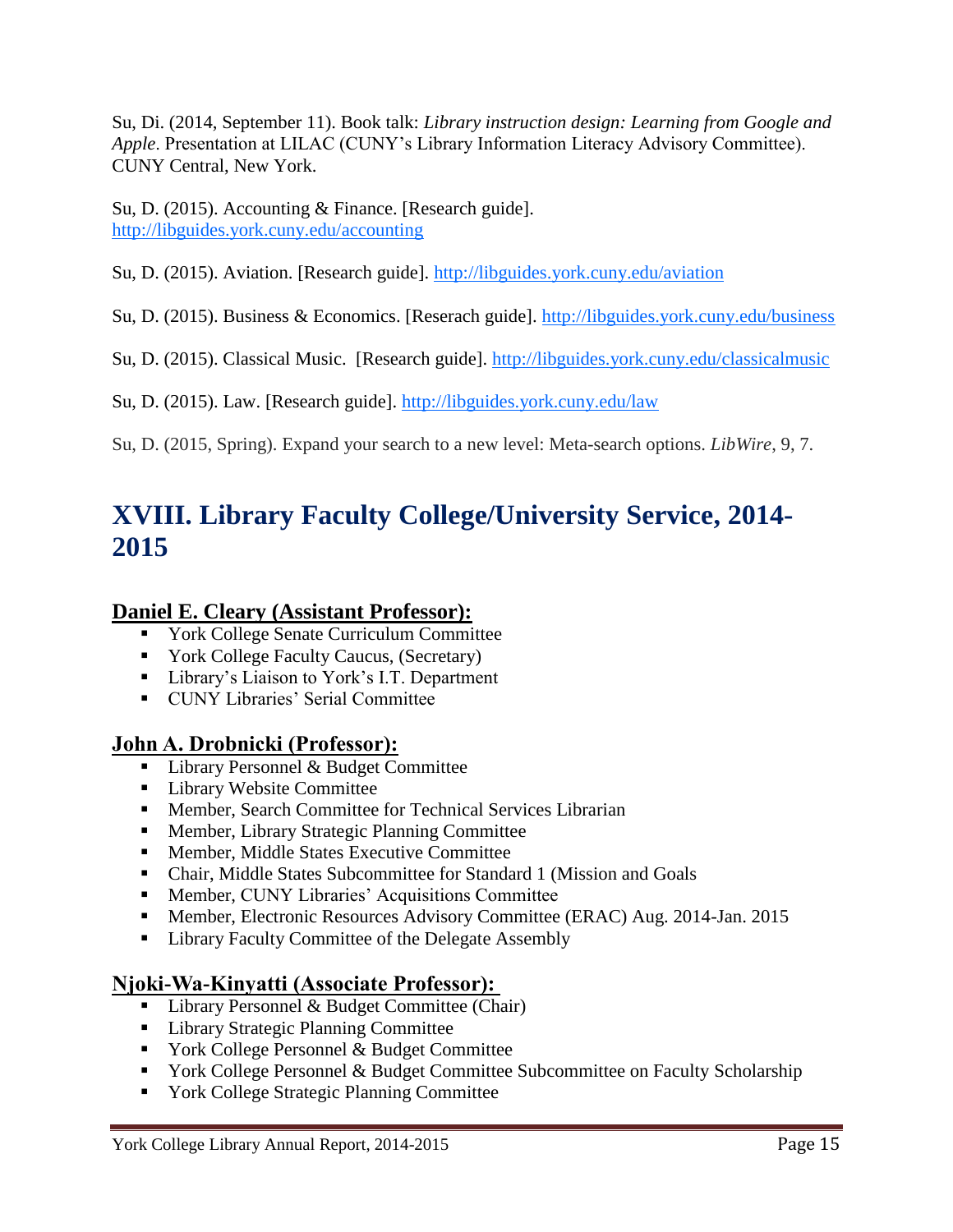Su, Di. (2014, September 11). Book talk: *Library instruction design: Learning from Google and Apple*. Presentation at LILAC (CUNY"s Library Information Literacy Advisory Committee). CUNY Central, New York.

Su, D. (2015). Accounting & Finance. [Research guide]. <http://libguides.york.cuny.edu/accounting>

Su, D. (2015). Aviation. [Research guide].<http://libguides.york.cuny.edu/aviation>

Su, D. (2015). Business & Economics. [Reserach guide].<http://libguides.york.cuny.edu/business>

Su, D. (2015). Classical Music. [Research guide].<http://libguides.york.cuny.edu/classicalmusic>

Su, D. (2015). Law. [Research guide].<http://libguides.york.cuny.edu/law>

Su, D. (2015, Spring). Expand your search to a new level: Meta-search options. *LibWire*, 9, 7.

### **XVIII. Library Faculty College/University Service, 2014- 2015**

#### **Daniel E. Cleary (Assistant Professor):**

- **The Vork College Senate Curriculum Committee**
- **York College Faculty Caucus, (Secretary)**
- Library's Liaison to York's I.T. Department
- **CUNY Libraries' Serial Committee**

#### **John A. Drobnicki (Professor):**

- Library Personnel & Budget Committee
- **Library Website Committee**
- Member, Search Committee for Technical Services Librarian
- **Member, Library Strategic Planning Committee**
- Member, Middle States Executive Committee
- Chair, Middle States Subcommittee for Standard 1 (Mission and Goals
- **Member, CUNY Libraries' Acquisitions Committee**
- Member, Electronic Resources Advisory Committee (ERAC) Aug. 2014-Jan. 2015
- Library Faculty Committee of the Delegate Assembly

### **Njoki-Wa-Kinyatti (Associate Professor):**

- $\blacksquare$  Library Personnel & Budget Committee (Chair)
- **Library Strategic Planning Committee**
- **York College Personnel & Budget Committee**
- **The York College Personnel & Budget Committee Subcommittee on Faculty Scholarship**
- **The York College Strategic Planning Committee**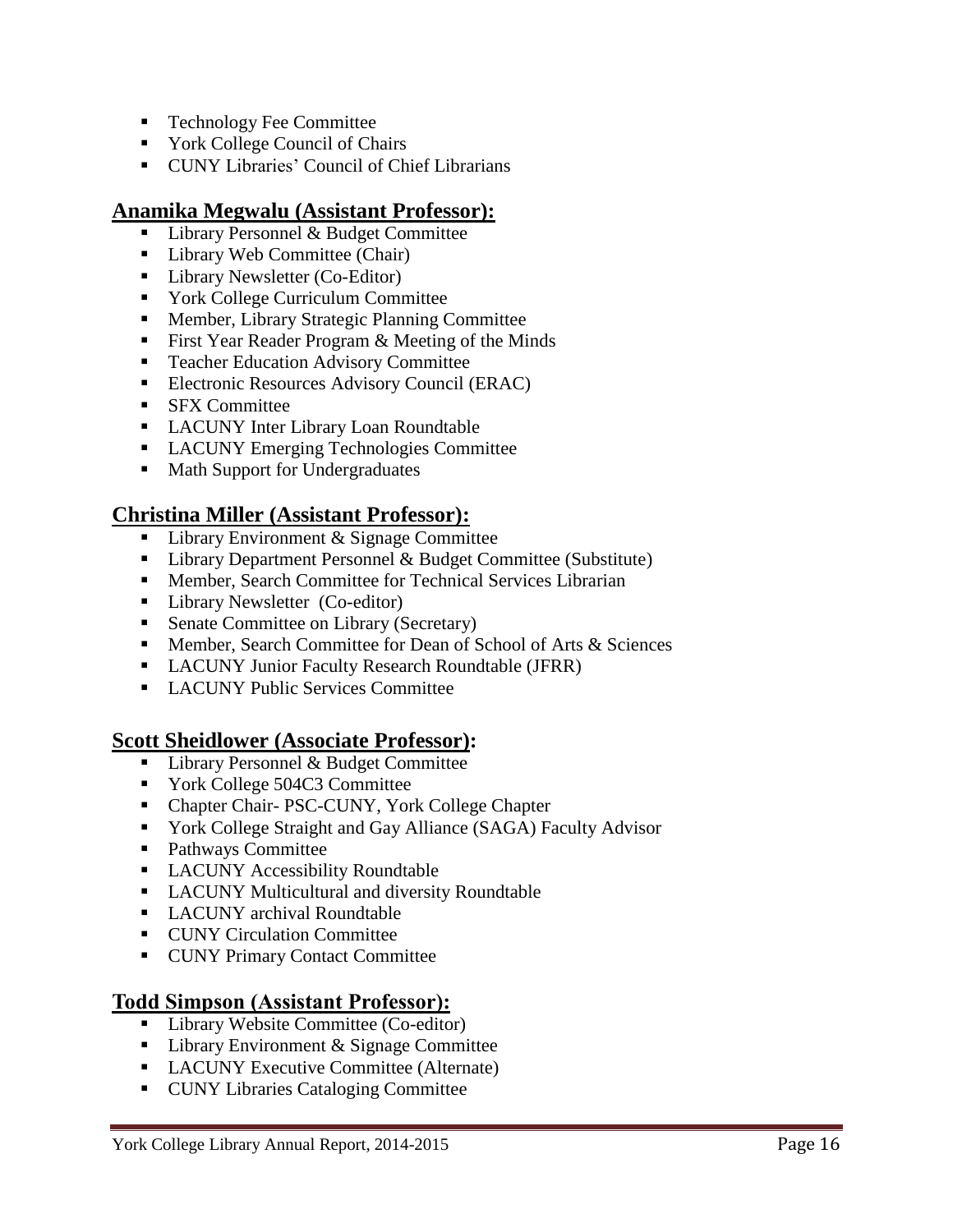- **Technology Fee Committee**
- York College Council of Chairs
- **CUNY Libraries' Council of Chief Librarians**

#### **Anamika Megwalu (Assistant Professor):**

- Library Personnel & Budget Committee
- Library Web Committee (Chair)
- Library Newsletter (Co-Editor)
- York College Curriculum Committee
- Member, Library Strategic Planning Committee
- First Year Reader Program & Meeting of the Minds
- **Teacher Education Advisory Committee**
- **Electronic Resources Advisory Council (ERAC)**
- **SFX** Committee
- **LACUNY Inter Library Loan Roundtable**
- **LACUNY Emerging Technologies Committee**
- Math Support for Undergraduates

#### **Christina Miller (Assistant Professor):**

- Library Environment & Signage Committee
- Library Department Personnel & Budget Committee (Substitute)
- **Member, Search Committee for Technical Services Librarian**
- **Library Newsletter (Co-editor)**
- Senate Committee on Library (Secretary)
- **Member, Search Committee for Dean of School of Arts & Sciences**
- **LACUNY Junior Faculty Research Roundtable (JFRR)**
- **LACUNY Public Services Committee**

#### **Scott Sheidlower (Associate Professor):**

- Library Personnel & Budget Committee
- Vork College 504C3 Committee
- Chapter Chair- PSC-CUNY, York College Chapter
- York College Straight and Gay Alliance (SAGA) Faculty Advisor
- Pathways Committee
- **LACUNY Accessibility Roundtable**
- **LACUNY Multicultural and diversity Roundtable**
- LACUNY archival Roundtable
- **CUNY Circulation Committee**
- **CUNY Primary Contact Committee**

#### **Todd Simpson (Assistant Professor):**

- Library Website Committee (Co-editor)
- Library Environment & Signage Committee
- **LACUNY Executive Committee (Alternate)**
- **CUNY Libraries Cataloging Committee**